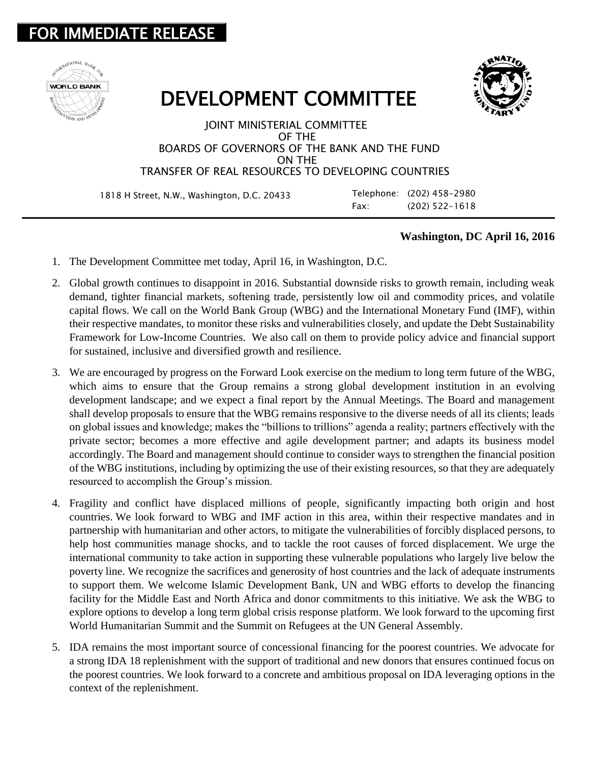## **IMMEDIATE RELEASE**





## DEVELOPMENT COMMITTEE

## JOINT MINISTERIAL COMMITTEE OF THE BOARDS OF GOVERNORS OF THE BANK AND THE FUND ON THE TRANSFER OF REAL RESOURCES TO DEVELOPING COUNTRIES

1818 H Street, N.W., Washington, D.C. 20433 Telephone: (202) 458-2980

Fax: (202) 522-1618

## **Washington, DC April 16, 2016**

- 1. The Development Committee met today, April 16, in Washington, D.C.
- 2. Global growth continues to disappoint in 2016. Substantial downside risks to growth remain, including weak demand, tighter financial markets, softening trade, persistently low oil and commodity prices, and volatile capital flows. We call on the World Bank Group (WBG) and the International Monetary Fund (IMF), within their respective mandates, to monitor these risks and vulnerabilities closely, and update the Debt Sustainability Framework for Low-Income Countries. We also call on them to provide policy advice and financial support for sustained, inclusive and diversified growth and resilience.
- 3. We are encouraged by progress on the Forward Look exercise on the medium to long term future of the WBG, which aims to ensure that the Group remains a strong global development institution in an evolving development landscape; and we expect a final report by the Annual Meetings. The Board and management shall develop proposals to ensure that the WBG remains responsive to the diverse needs of all its clients; leads on global issues and knowledge; makes the "billions to trillions" agenda a reality; partners effectively with the private sector; becomes a more effective and agile development partner; and adapts its business model accordingly. The Board and management should continue to consider ways to strengthen the financial position of the WBG institutions, including by optimizing the use of their existing resources, so that they are adequately resourced to accomplish the Group's mission.
- 4. Fragility and conflict have displaced millions of people, significantly impacting both origin and host countries. We look forward to WBG and IMF action in this area, within their respective mandates and in partnership with humanitarian and other actors, to mitigate the vulnerabilities of forcibly displaced persons, to help host communities manage shocks, and to tackle the root causes of forced displacement. We urge the international community to take action in supporting these vulnerable populations who largely live below the poverty line. We recognize the sacrifices and generosity of host countries and the lack of adequate instruments to support them. We welcome Islamic Development Bank, UN and WBG efforts to develop the financing facility for the Middle East and North Africa and donor commitments to this initiative. We ask the WBG to explore options to develop a long term global crisis response platform. We look forward to the upcoming first World Humanitarian Summit and the Summit on Refugees at the UN General Assembly.
- 5. IDA remains the most important source of concessional financing for the poorest countries. We advocate for a strong IDA 18 replenishment with the support of traditional and new donors that ensures continued focus on the poorest countries. We look forward to a concrete and ambitious proposal on IDA leveraging options in the context of the replenishment.